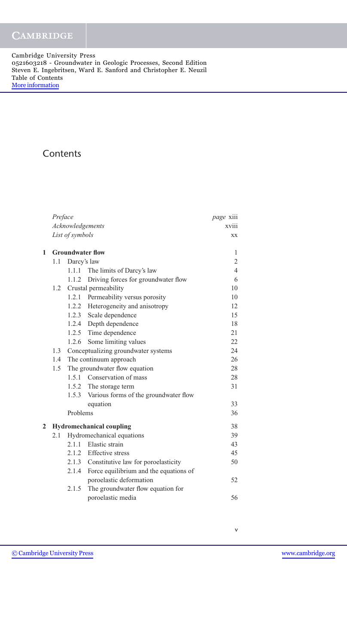Cambridge University Press 0521603218 - Groundwater in Geologic Processes, Second Edition Steven E. Ingebritsen, Ward E. Sanford and Christopher E. Neuzil Table of Contents [More information](http://www.cambridge.org/0521603218)

# **Contents**

|   | Preface                         | <i>page</i> xiii        |                                             |                |  |
|---|---------------------------------|-------------------------|---------------------------------------------|----------------|--|
|   | Acknowledgements                | xviii                   |                                             |                |  |
|   | List of symbols                 | XX                      |                                             |                |  |
| 1 |                                 | <b>Groundwater flow</b> |                                             |                |  |
|   | 1.1                             | Darcy's law             |                                             | 2              |  |
|   |                                 | 1.1.1                   | The limits of Darcy's law                   | $\overline{4}$ |  |
|   |                                 |                         | 1.1.2 Driving forces for groundwater flow   | 6              |  |
|   | 1.2                             |                         | Crustal permeability                        | 10             |  |
|   |                                 |                         | 1.2.1 Permeability versus porosity          | 10             |  |
|   |                                 |                         | 1.2.2 Heterogeneity and anisotropy          | 12             |  |
|   |                                 |                         | 1.2.3 Scale dependence                      | 15             |  |
|   |                                 |                         | 1.2.4 Depth dependence                      | 18             |  |
|   |                                 |                         | 1.2.5 Time dependence                       | 21             |  |
|   |                                 |                         | 1.2.6 Some limiting values                  | 22             |  |
|   | 1.3                             |                         | Conceptualizing groundwater systems         | 24             |  |
|   | 1.4                             |                         | The continuum approach                      | 26             |  |
|   | 1.5                             |                         | The groundwater flow equation               | 28             |  |
|   |                                 | 1.5.1                   | Conservation of mass                        | 28             |  |
|   |                                 |                         | 1.5.2 The storage term                      | 31             |  |
|   |                                 |                         | 1.5.3 Various forms of the groundwater flow |                |  |
|   |                                 |                         | equation                                    | 33             |  |
|   |                                 | Problems                |                                             | 36             |  |
| 2 | <b>Hydromechanical coupling</b> | 38                      |                                             |                |  |
|   | 2.1                             |                         | Hydromechanical equations                   | 39             |  |
|   |                                 |                         | 2.1.1 Elastic strain                        | 43             |  |
|   |                                 |                         | 2.1.2 Effective stress                      | 45             |  |
|   |                                 |                         | 2.1.3 Constitutive law for poroelasticity   | 50             |  |
|   |                                 | 2.1.4                   | Force equilibrium and the equations of      |                |  |
|   |                                 |                         | poroelastic deformation                     | 52             |  |
|   |                                 | 2.1.5                   | The groundwater flow equation for           |                |  |
|   |                                 |                         | poroelastic media                           | 56             |  |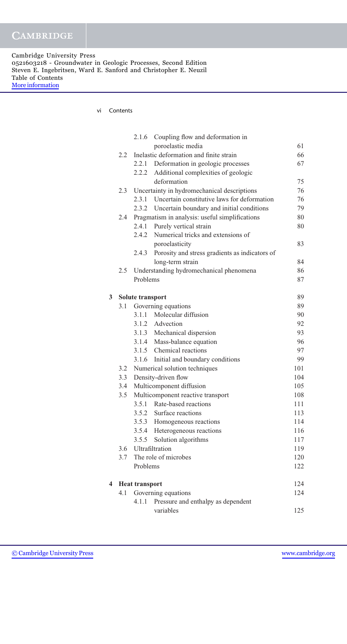Cambridge University Press 0521603218 - Groundwater in Geologic Processes, Second Edition Steven E. Ingebritsen, Ward E. Sanford and Christopher E. Neuzil Table of Contents [More information](http://www.cambridge.org/0521603218)

vi Contents

|   |                            | 2.1.6                 | Coupling flow and deformation in                  |     |
|---|----------------------------|-----------------------|---------------------------------------------------|-----|
|   |                            |                       | poroelastic media                                 | 61  |
|   | 2.2                        |                       | Inelastic deformation and finite strain           | 66  |
|   |                            | 2.2.1                 | Deformation in geologic processes                 | 67  |
|   |                            | 2.2.2                 | Additional complexities of geologic               |     |
|   |                            |                       | deformation                                       | 75  |
|   | 2.3                        |                       | Uncertainty in hydromechanical descriptions       | 76  |
|   |                            |                       | 2.3.1 Uncertain constitutive laws for deformation | 76  |
|   |                            |                       | 2.3.2 Uncertain boundary and initial conditions   | 79  |
|   | 2.4                        |                       | Pragmatism in analysis: useful simplifications    | 80  |
|   |                            | 2.4.1                 | Purely vertical strain                            | 80  |
|   |                            | 2.4.2                 | Numerical tricks and extensions of                |     |
|   |                            |                       | poroelasticity                                    | 83  |
|   |                            | 2.4.3                 | Porosity and stress gradients as indicators of    |     |
|   |                            |                       | long-term strain                                  | 84  |
|   | 2.5                        |                       | Understanding hydromechanical phenomena           | 86  |
|   |                            | Problems              |                                                   | 87  |
| 3 |                            | Solute transport      |                                                   | 89  |
|   | 3.1                        |                       | Governing equations                               | 89  |
|   |                            |                       | 3.1.1 Molecular diffusion                         | 90  |
|   |                            |                       | 3.1.2 Advection                                   | 92  |
|   |                            |                       | 3.1.3 Mechanical dispersion                       | 93  |
|   |                            |                       | 3.1.4 Mass-balance equation                       | 96  |
|   |                            |                       | 3.1.5 Chemical reactions                          | 97  |
|   |                            |                       | 3.1.6 Initial and boundary conditions             | 99  |
|   | 3.2                        |                       | Numerical solution techniques                     | 101 |
|   | 3.3                        |                       | Density-driven flow                               | 104 |
|   | 3.4                        |                       | Multicomponent diffusion                          | 105 |
|   | 3.5                        |                       | Multicomponent reactive transport                 | 108 |
|   |                            |                       | 3.5.1 Rate-based reactions                        | 111 |
|   |                            |                       | 3.5.2 Surface reactions                           | 113 |
|   |                            |                       | 3.5.3 Homogeneous reactions                       | 114 |
|   |                            | 3.5.4                 | Heterogeneous reactions                           | 116 |
|   |                            |                       | 3.5.5 Solution algorithms                         | 117 |
|   | 3.6                        |                       | Ultrafiltration                                   | 119 |
|   | 3.7                        |                       | The role of microbes                              | 120 |
|   |                            | Problems              |                                                   | 122 |
| 4 |                            | <b>Heat transport</b> |                                                   | 124 |
|   | Governing equations<br>4.1 |                       |                                                   |     |
|   |                            | 4.1.1                 | Pressure and enthalpy as dependent                |     |
|   |                            |                       | variables                                         | 125 |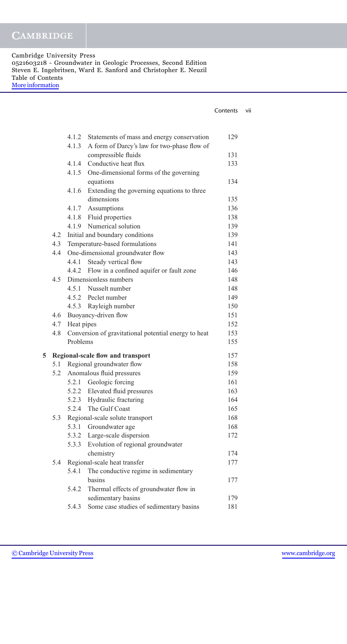Cambridge University Press 0521603218 - Groundwater in Geologic Processes, Second Edition Steven E. Ingebritsen, Ward E. Sanford and Christopher E. Neuzil Table of Contents [More information](http://www.cambridge.org/0521603218)

|   |     |            |                                                      | Contents | vii |
|---|-----|------------|------------------------------------------------------|----------|-----|
|   |     |            |                                                      |          |     |
|   |     | 4.1.2      | Statements of mass and energy conservation           | 129      |     |
|   |     | 4.1.3      | A form of Darcy's law for two-phase flow of          |          |     |
|   |     |            | compressible fluids                                  | 131      |     |
|   |     | 4.1.4      | Conductive heat flux                                 | 133      |     |
|   |     | 4.1.5      | One-dimensional forms of the governing               |          |     |
|   |     |            | equations                                            | 134      |     |
|   |     | 4.1.6      | Extending the governing equations to three           |          |     |
|   |     |            | dimensions                                           | 135      |     |
|   |     |            | 4.1.7 Assumptions                                    | 136      |     |
|   |     |            | 4.1.8 Fluid properties                               | 138      |     |
|   |     | 4.1.9      | Numerical solution                                   | 139      |     |
|   | 4.2 |            | Initial and boundary conditions                      | 139      |     |
|   | 4.3 |            | Temperature-based formulations                       | 141      |     |
|   | 4.4 |            | One-dimensional groundwater flow                     | 143      |     |
|   |     |            | 4.4.1 Steady vertical flow                           | 143      |     |
|   |     |            | 4.4.2 Flow in a confined aquifer or fault zone       | 146      |     |
|   | 4.5 |            | Dimensionless numbers                                | 148      |     |
|   |     |            | 4.5.1 Nusselt number                                 | 148      |     |
|   |     |            | 4.5.2 Peclet number                                  | 149      |     |
|   |     |            | 4.5.3 Rayleigh number                                | 150      |     |
|   | 4.6 |            | Buoyancy-driven flow                                 | 151      |     |
|   | 4.7 | Heat pipes |                                                      | 152      |     |
|   | 4.8 |            | Conversion of gravitational potential energy to heat | 153      |     |
|   |     | Problems   |                                                      | 155      |     |
| 5 |     |            | Regional-scale flow and transport                    | 157      |     |
|   |     |            | 5.1 Regional groundwater flow                        | 158      |     |
|   | 5.2 |            | Anomalous fluid pressures                            | 159      |     |
|   |     |            | 5.2.1 Geologic forcing                               | 161      |     |
|   |     |            | 5.2.2 Elevated fluid pressures                       | 163      |     |
|   |     | 5.2.3      | Hydraulic fracturing                                 | 164      |     |
|   |     | 5.2.4      | The Gulf Coast                                       | 165      |     |
|   | 5.3 |            | Regional-scale solute transport                      | 168      |     |
|   |     | 5.3.1      | Groundwater age                                      | 168      |     |
|   |     | 5.3.2      | Large-scale dispersion                               | 172      |     |
|   |     | 5.3.3      | Evolution of regional groundwater                    |          |     |
|   |     |            | chemistry                                            | 174      |     |
|   | 5.4 |            | Regional-scale heat transfer                         | 177      |     |
|   |     | 5.4.1      | The conductive regime in sedimentary                 |          |     |
|   |     |            | basins                                               | 177      |     |
|   |     | 5.4.2      | Thermal effects of groundwater flow in               |          |     |
|   |     |            | sedimentary basins                                   | 179      |     |
|   |     | 5.4.3      | Some case studies of sedimentary basins              | 181      |     |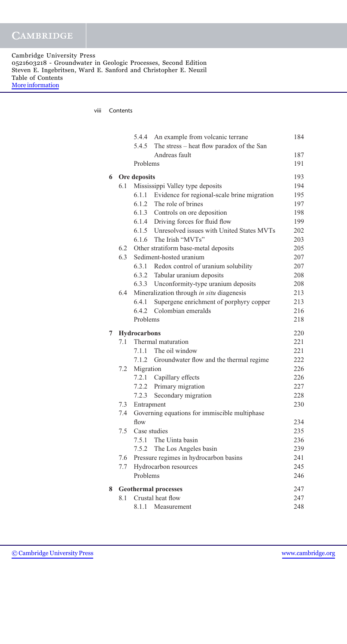Cambridge University Press 0521603218 - Groundwater in Geologic Processes, Second Edition Steven E. Ingebritsen, Ward E. Sanford and Christopher E. Neuzil Table of Contents [More information](http://www.cambridge.org/0521603218)

viii Contents

|   |     |              | 5.4.4 An example from volcanic terrane          | 184 |
|---|-----|--------------|-------------------------------------------------|-----|
|   |     | 5.4.5        | The stress – heat flow paradox of the San       |     |
|   |     |              | Andreas fault                                   | 187 |
|   |     | Problems     |                                                 | 191 |
| 6 |     | Ore deposits |                                                 | 193 |
|   | 6.1 |              | Mississippi Valley type deposits                | 194 |
|   |     | 6.1.1        | Evidence for regional-scale brine migration     | 195 |
|   |     |              | 6.1.2 The role of brines                        | 197 |
|   |     |              | 6.1.3 Controls on ore deposition                | 198 |
|   |     |              | 6.1.4 Driving forces for fluid flow             | 199 |
|   |     |              | 6.1.5 Unresolved issues with United States MVTs | 202 |
|   |     |              | 6.1.6 The Irish "MVTs"                          | 203 |
|   |     |              | 6.2 Other stratiform base-metal deposits        | 205 |
|   | 6.3 |              | Sediment-hosted uranium                         | 207 |
|   |     |              | 6.3.1 Redox control of uranium solubility       | 207 |
|   |     |              | 6.3.2 Tabular uranium deposits                  | 208 |
|   |     |              | 6.3.3 Unconformity-type uranium deposits        | 208 |
|   | 6.4 |              | Mineralization through in situ diagenesis       | 213 |
|   |     | 6.4.1        | Supergene enrichment of porphyry copper         | 213 |
|   |     |              | 6.4.2 Colombian emeralds                        | 216 |
|   |     | Problems     |                                                 | 218 |
| 7 |     | Hydrocarbons |                                                 | 220 |
|   | 7.1 |              | Thermal maturation                              | 221 |
|   |     | 7.1.1        | The oil window                                  | 221 |
|   |     | 7.1.2        | Groundwater flow and the thermal regime         | 222 |
|   | 7.2 | Migration    |                                                 | 226 |
|   |     |              | 7.2.1 Capillary effects                         | 226 |
|   |     |              | 7.2.2 Primary migration                         | 227 |
|   |     | 7.2.3        | Secondary migration                             | 228 |
|   | 7.3 | Entrapment   |                                                 | 230 |
|   | 7.4 |              | Governing equations for immiscible multiphase   |     |
|   |     | flow         |                                                 | 234 |
|   | 7.5 |              | Case studies                                    | 235 |
|   |     |              | 7.5.1 The Uinta basin                           | 236 |
|   |     | 7.5.2        | The Los Angeles basin                           | 239 |
|   | 7.6 |              | Pressure regimes in hydrocarbon basins          | 241 |
|   | 7.7 |              | Hydrocarbon resources                           | 245 |
|   |     | Problems     |                                                 | 246 |
| 8 |     |              | <b>Geothermal processes</b>                     | 247 |
|   | 8.1 |              | Crustal heat flow                               | 247 |
|   |     | 8.1.1        | Measurement                                     | 248 |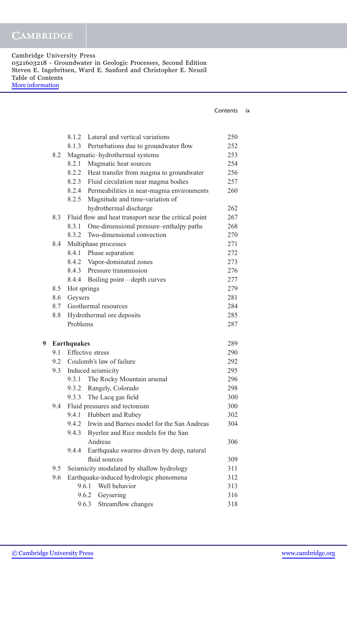Cambridge University Press 0521603218 - Groundwater in Geologic Processes, Second Edition Steven E. Ingebritsen, Ward E. Sanford and Christopher E. Neuzil Table of Contents [More information](http://www.cambridge.org/0521603218)

| Contents | IX |
|----------|----|
|          |    |

|   |     | 8.1.2                | Lateral and vertical variations                       | 250 |
|---|-----|----------------------|-------------------------------------------------------|-----|
|   |     |                      | 8.1.3 Perturbations due to groundwater flow           | 252 |
|   | 8.2 |                      | Magmatic-hydrothermal systems                         | 253 |
|   |     | 8.2.1                | Magmatic heat sources                                 | 254 |
|   |     |                      | 8.2.2 Heat transfer from magma to groundwater         | 256 |
|   |     |                      | 8.2.3 Fluid circulation near magma bodies             | 257 |
|   |     |                      | 8.2.4 Permeabilities in near-magma environments       | 260 |
|   |     | 8.2.5                | Magnitude and time-variation of                       |     |
|   |     |                      | hydrothermal discharge                                | 262 |
|   | 8.3 |                      | Fluid flow and heat transport near the critical point | 267 |
|   |     | 8.3.1                | One-dimensional pressure-enthalpy paths               | 268 |
|   |     | 8.3.2                | Two-dimensional convection                            | 270 |
|   | 8.4 |                      | Multiphase processes                                  | 271 |
|   |     |                      | 8.4.1 Phase separation                                | 272 |
|   |     |                      | 8.4.2 Vapor-dominated zones                           | 273 |
|   |     | 8.4.3                | Pressure transmission                                 | 276 |
|   |     | 8.4.4                | Boiling point – depth curves                          | 277 |
|   | 8.5 | Hot springs          |                                                       | 279 |
|   | 8.6 | Geysers              |                                                       | 281 |
|   | 8.7 |                      | Geothermal resources                                  | 284 |
|   | 8.8 |                      | Hydrothermal ore deposits                             | 285 |
|   |     | Problems             |                                                       | 287 |
| 9 |     | <b>Earthquakes</b>   |                                                       | 289 |
|   |     | 9.1 Effective stress |                                                       | 290 |
|   |     |                      | 9.2 Coulomb's law of failure                          | 292 |
|   | 9.3 | Induced seismicity   |                                                       | 295 |
|   |     | 9.3.1                | The Rocky Mountain arsenal                            | 296 |
|   |     | 9.3.2                | Rangely, Colorado                                     | 298 |
|   |     | 9.3.3                | The Lacq gas field                                    | 300 |
|   | 9.4 |                      | Fluid pressures and tectonism                         | 300 |
|   |     |                      | 9.4.1 Hubbert and Rubey                               | 302 |
|   |     |                      | 9.4.2 Irwin and Barnes model for the San Andreas      | 304 |
|   |     | 9.4.3                | Byerlee and Rice models for the San                   |     |
|   |     |                      | Andreas                                               | 306 |
|   |     | 9.4.4                | Earthquake swarms driven by deep, natural             |     |
|   |     |                      | fluid sources                                         | 309 |
|   | 9.5 |                      | Seismicity modulated by shallow hydrology             | 311 |
|   | 9.6 |                      | Earthquake-induced hydrologic phenomena               | 312 |
|   |     | 9.6.1                | Well behavior                                         | 313 |
|   |     | 9.6.2                | Geysering                                             | 316 |
|   |     | 9.6.3                | Streamflow changes                                    | 318 |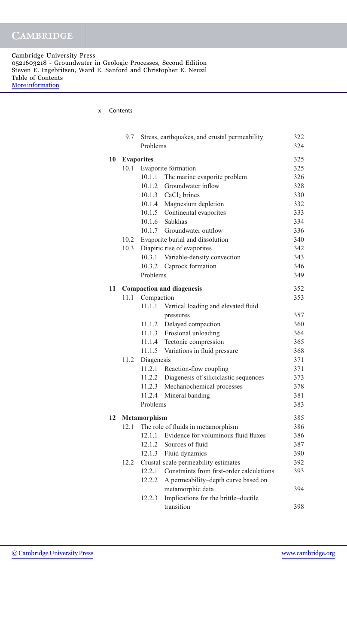Cambridge University Press 0521603218 - Groundwater in Geologic Processes, Second Edition Steven E. Ingebritsen, Ward E. Sanford and Christopher E. Neuzil Table of Contents [More information](http://www.cambridge.org/0521603218)

x Contents

|    | 9.7  |                      | Stress, earthquakes, and crustal permeability                          | 322 |
|----|------|----------------------|------------------------------------------------------------------------|-----|
|    |      | Problems             |                                                                        | 324 |
| 10 |      | <b>Evaporites</b>    |                                                                        | 325 |
|    | 10.1 |                      | Evaporite formation                                                    | 325 |
|    |      | 10.1.1               | The marine evaporite problem                                           | 326 |
|    |      | 10.1.2               | Groundwater inflow                                                     | 328 |
|    |      |                      | 10.1.3 $CaCl2 brines$                                                  | 330 |
|    |      |                      | 10.1.4 Magnesium depletion                                             | 332 |
|    |      |                      | 10.1.5 Continental evaporites                                          | 333 |
|    |      |                      | 10.1.6 Sabkhas                                                         | 334 |
|    |      |                      | 10.1.7 Groundwater outflow                                             | 336 |
|    | 10.2 |                      | Evaporite burial and dissolution                                       | 340 |
|    | 10.3 |                      | Diapiric rise of evaporites                                            | 342 |
|    |      |                      | 10.3.1 Variable-density convection                                     | 343 |
|    |      |                      | 10.3.2 Caprock formation                                               | 346 |
|    |      | Problems             |                                                                        | 349 |
|    |      |                      |                                                                        |     |
| 11 |      |                      | <b>Compaction and diagenesis</b>                                       | 352 |
|    | 11.1 | Compaction<br>11.1.1 |                                                                        | 353 |
|    |      |                      | Vertical loading and elevated fluid                                    | 357 |
|    |      |                      | pressures<br>11.1.2 Delayed compaction                                 | 360 |
|    |      |                      | 11.1.3 Erosional unloading                                             | 364 |
|    |      |                      |                                                                        | 365 |
|    |      | 11.1.5               | 11.1.4 Tectonic compression                                            | 368 |
|    | 11.2 |                      | Variations in fluid pressure                                           | 371 |
|    |      | Diagenesis           |                                                                        | 371 |
|    |      | 11.2.2               | 11.2.1 Reaction-flow coupling<br>Diagenesis of siliciclastic sequences | 373 |
|    |      | 11.2.3               | Mechanochemical processes                                              | 378 |
|    |      | 11.2.4               | Mineral banding                                                        | 381 |
|    |      | Problems             |                                                                        | 383 |
|    |      |                      |                                                                        |     |
| 12 |      | <b>Metamorphism</b>  |                                                                        | 385 |
|    | 12.1 |                      | The role of fluids in metamorphism                                     | 386 |
|    |      |                      | 12.1.1 Evidence for voluminous fluid fluxes                            | 386 |
|    |      | 12.1.2               | Sources of fluid                                                       | 387 |
|    |      | 12.1.3               | Fluid dynamics                                                         | 390 |
|    | 12.2 |                      | Crustal-scale permeability estimates                                   | 392 |
|    |      | 12.2.1               | Constraints from first-order calculations                              | 393 |
|    |      | 12.2.2               | A permeability-depth curve based on                                    |     |
|    |      |                      | metamorphic data                                                       | 394 |
|    |      | 12.2.3               | Implications for the brittle-ductile                                   |     |
|    |      |                      | transition                                                             | 398 |